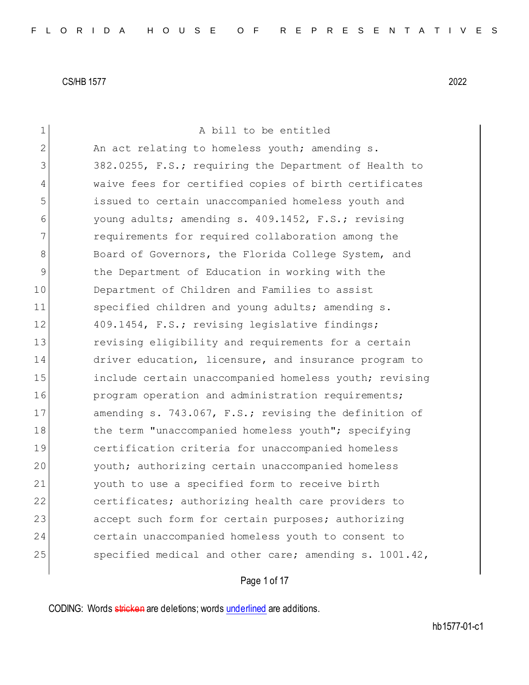| $\mathbf 1$  | A bill to be entitled                                  |
|--------------|--------------------------------------------------------|
| $\mathbf{2}$ | An act relating to homeless youth; amending s.         |
| 3            | 382.0255, F.S.; requiring the Department of Health to  |
| 4            | waive fees for certified copies of birth certificates  |
| 5            | issued to certain unaccompanied homeless youth and     |
| 6            | young adults; amending s. 409.1452, F.S.; revising     |
| 7            | requirements for required collaboration among the      |
| 8            | Board of Governors, the Florida College System, and    |
| 9            | the Department of Education in working with the        |
| 10           | Department of Children and Families to assist          |
| 11           | specified children and young adults; amending s.       |
| 12           | 409.1454, F.S.; revising legislative findings;         |
| 13           | revising eligibility and requirements for a certain    |
| 14           | driver education, licensure, and insurance program to  |
| 15           | include certain unaccompanied homeless youth; revising |
| 16           | program operation and administration requirements;     |
| 17           | amending s. 743.067, F.S.; revising the definition of  |
| 18           | the term "unaccompanied homeless youth"; specifying    |
| 19           | certification criteria for unaccompanied homeless      |
| 20           | youth; authorizing certain unaccompanied homeless      |
| 21           | youth to use a specified form to receive birth         |
| 22           | certificates; authorizing health care providers to     |
| 23           | accept such form for certain purposes; authorizing     |
| 24           | certain unaccompanied homeless youth to consent to     |
| 25           | specified medical and other care; amending s. 1001.42, |
|              |                                                        |

# Page 1 of 17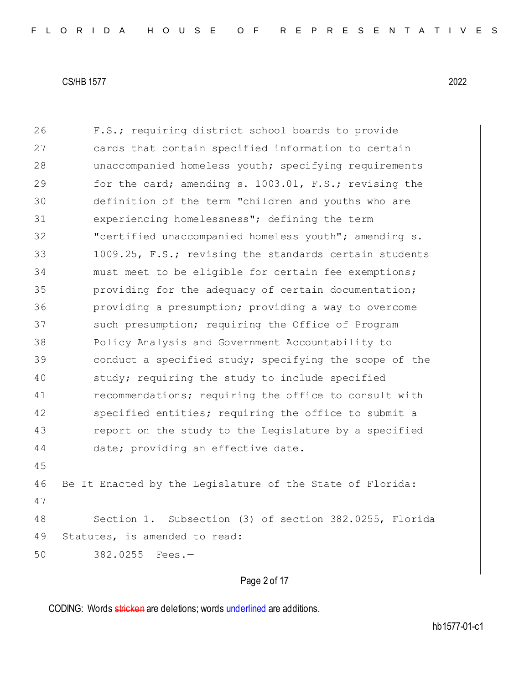26 F.S.; requiring district school boards to provide 27 cards that contain specified information to certain 28 unaccompanied homeless youth; specifying requirements 29 for the card; amending s. 1003.01, F.S.; revising the 30 definition of the term "children and youths who are 31 experiencing homelessness"; defining the term 32 "certified unaccompanied homeless youth"; amending s. 33 1009.25, F.S.; revising the standards certain students 34 must meet to be eligible for certain fee exemptions; 35 **providing for the adequacy of certain documentation;** 36 providing a presumption; providing a way to overcome 37 such presumption; requiring the Office of Program 38 Policy Analysis and Government Accountability to 39 39 conduct a specified study; specifying the scope of the 40 study; requiring the study to include specified 41 recommendations; requiring the office to consult with 42 specified entities; requiring the office to submit a 43 report on the study to the Legislature by a specified 44 date; providing an effective date. 45 46 Be It Enacted by the Legislature of the State of Florida: 47 48 Section 1. Subsection (3) of section 382.0255, Florida 49 Statutes, is amended to read: 50 382.0255 Fees.—

## Page 2 of 17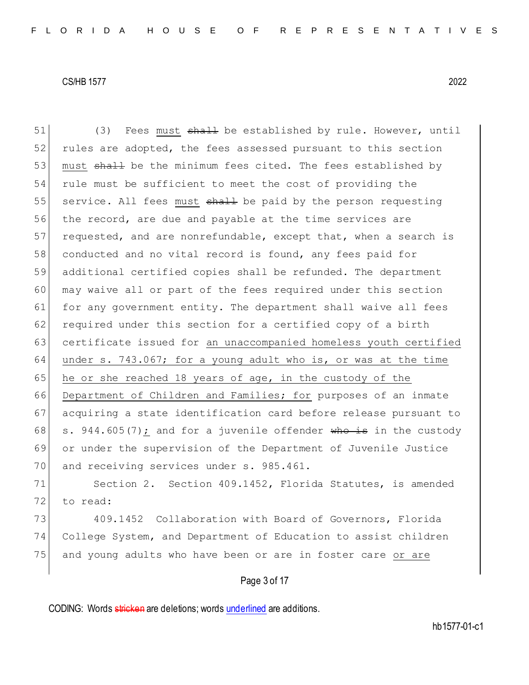51 (3) Fees must shall be established by rule. However, until 52 rules are adopted, the fees assessed pursuant to this section 53 must shall be the minimum fees cited. The fees established by 54 rule must be sufficient to meet the cost of providing the 55 service. All fees must  $\frac{1}{2}$  be paid by the person requesting 56 the record, are due and payable at the time services are 57 requested, and are nonrefundable, except that, when a search is 58 conducted and no vital record is found, any fees paid for 59 additional certified copies shall be refunded. The department 60 may waive all or part of the fees required under this section 61 for any government entity. The department shall waive all fees 62 required under this section for a certified copy of a birth 63 certificate issued for an unaccompanied homeless youth certified 64 under s. 743.067; for a young adult who is, or was at the time 65 he or she reached 18 years of age, in the custody of the 66 Department of Children and Families; for purposes of an inmate 67 acquiring a state identification card before release pursuant to 68  $\vert$  s. 944.605(7): and for a juvenile offender who is in the custody 69 or under the supervision of the Department of Juvenile Justice 70 and receiving services under s. 985.461. 71 Section 2. Section 409.1452, Florida Statutes, is amended 72 to read:

73 409.1452 Collaboration with Board of Governors, Florida 74 College System, and Department of Education to assist children 75 and young adults who have been or are in foster care or are

## Page 3 of 17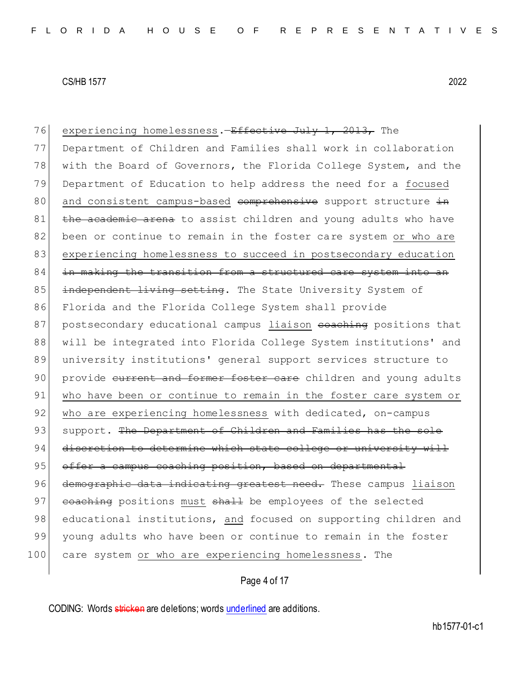| 76  | experiencing homelessness.- <del>Effective July 1, 2013,</del> The |
|-----|--------------------------------------------------------------------|
| 77  | Department of Children and Families shall work in collaboration    |
| 78  | with the Board of Governors, the Florida College System, and the   |
| 79  | Department of Education to help address the need for a focused     |
| 80  | and consistent campus-based comprehensive support structure in     |
| 81  | the academic arena to assist children and young adults who have    |
| 82  | been or continue to remain in the foster care system or who are    |
| 83  | experiencing homelessness to succeed in postsecondary education    |
| 84  | in making the transition from a structured care system into an     |
| 85  | independent living setting. The State University System of         |
| 86  | Florida and the Florida College System shall provide               |
| 87  | postsecondary educational campus liaison eoaching positions that   |
| 88  | will be integrated into Florida College System institutions' and   |
| 89  | university institutions' general support services structure to     |
| 90  | provide current and former foster care children and young adults   |
| 91  | who have been or continue to remain in the foster care system or   |
| 92  | who are experiencing homelessness with dedicated, on-campus        |
| 93  | support. The Department of Children and Families has the sole      |
| 94  | discretion to determine which state college or university will     |
| 95  | offer a campus coaching position, based on departmental            |
| 96  | demographic data indicating greatest need. These campus liaison    |
| 97  | eoaching positions must shall be employees of the selected         |
| 98  | educational institutions, and focused on supporting children and   |
| 99  | young adults who have been or continue to remain in the foster     |
| 100 | care system or who are experiencing homelessness. The              |

Page 4 of 17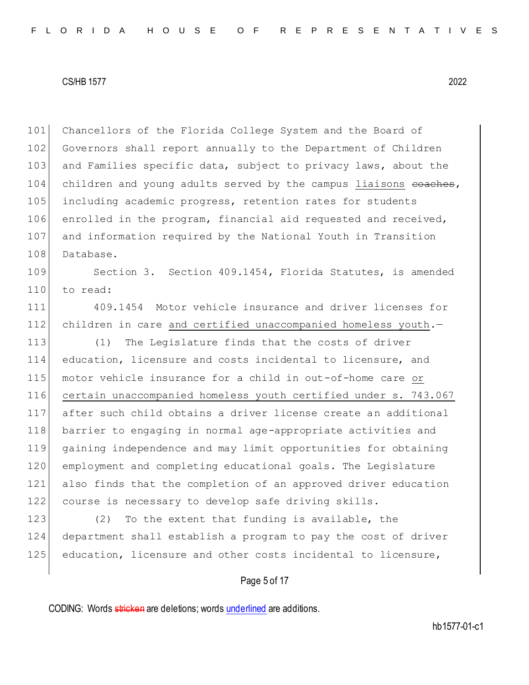101 Chancellors of the Florida College System and the Board of 102 Governors shall report annually to the Department of Children 103 and Families specific data, subject to privacy laws, about the 104 children and young adults served by the campus liaisons eoaches, 105 including academic progress, retention rates for students 106 enrolled in the program, financial aid requested and received, 107 and information required by the National Youth in Transition 108 Database.

109 Section 3. Section 409.1454, Florida Statutes, is amended 110 to read:

111 409.1454 Motor vehicle insurance and driver licenses for 112 children in care and certified unaccompanied homeless youth.-

113 (1) The Legislature finds that the costs of driver education, licensure and costs incidental to licensure, and motor vehicle insurance for a child in out-of-home care or 116 certain unaccompanied homeless youth certified under s. 743.067 after such child obtains a driver license create an additional barrier to engaging in normal age-appropriate activities and gaining independence and may limit opportunities for obtaining employment and completing educational goals. The Legislature also finds that the completion of an approved driver education course is necessary to develop safe driving skills.

123 (2) To the extent that funding is available, the 124 department shall establish a program to pay the cost of driver 125 education, licensure and other costs incidental to licensure,

## Page 5 of 17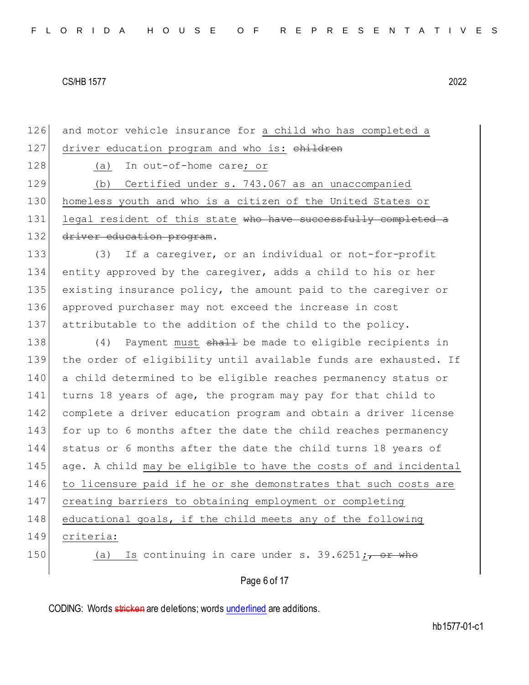126 and motor vehicle insurance for a child who has completed a 127 driver education program and who is: children 128 (a) In out-of-home care; or 129 (b) Certified under s. 743.067 as an unaccompanied 130 homeless youth and who is a citizen of the United States or 131 legal resident of this state who have successfully completed a 132 driver education program. 133 (3) If a caregiver, or an individual or not-for-profit 134 entity approved by the caregiver, adds a child to his or her 135 existing insurance policy, the amount paid to the caregiver or 136 approved purchaser may not exceed the increase in cost 137 attributable to the addition of the child to the policy. 138 (4) Payment must shall be made to eligible recipients in 139 the order of eligibility until available funds are exhausted. If 140 a child determined to be eligible reaches permanency status or 141 turns 18 years of age, the program may pay for that child to 142 complete a driver education program and obtain a driver license 143 for up to 6 months after the date the child reaches permanency 144 status or 6 months after the date the child turns 18 years of 145 age. A child may be eligible to have the costs of and incidental 146 to licensure paid if he or she demonstrates that such costs are 147 creating barriers to obtaining employment or completing 148 educational goals, if the child meets any of the following 149 criteria: 150 (a) Is continuing in care under s. 39.6251;, or who

## Page 6 of 17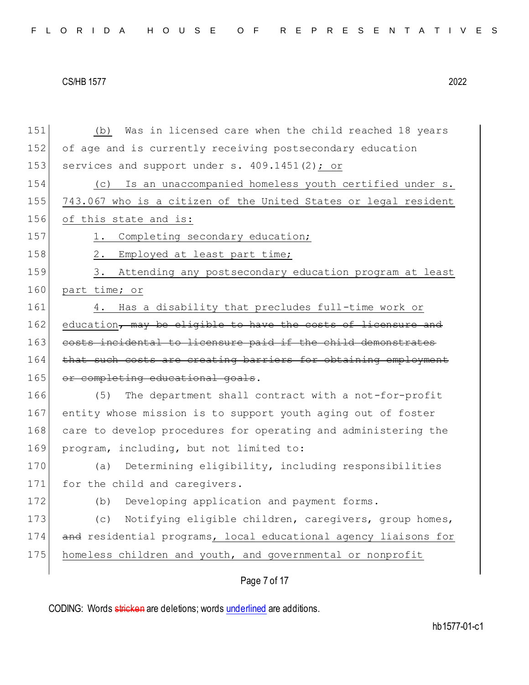151 (b) Was in licensed care when the child reached 18 years 152 of age and is currently receiving postsecondary education 153 services and support under s. 409.1451(2); or 154 (c) Is an unaccompanied homeless youth certified under s. 155 743.067 who is a citizen of the United States or legal resident 156 of this state and is: 157 1. Completing secondary education; 158 2. Employed at least part time; 159 3. Attending any postsecondary education program at least 160 part time; or 161 4. Has a disability that precludes full-time work or 162 education, may be eligible to have the costs of licensure and 163 costs incidental to licensure paid if the child demonstrates 164 that such costs are creating barriers for obtaining employment 165 or completing educational goals. 166 (5) The department shall contract with a not-for-profit 167 entity whose mission is to support youth aging out of foster 168 care to develop procedures for operating and administering the 169 program, including, but not limited to: 170 (a) Determining eligibility, including responsibilities 171 for the child and caregivers. 172 (b) Developing application and payment forms. 173 (c) Notifying eligible children, caregivers, group homes, 174 and residential programs, local educational agency liaisons for 175 homeless children and youth, and governmental or nonprofit

Page 7 of 17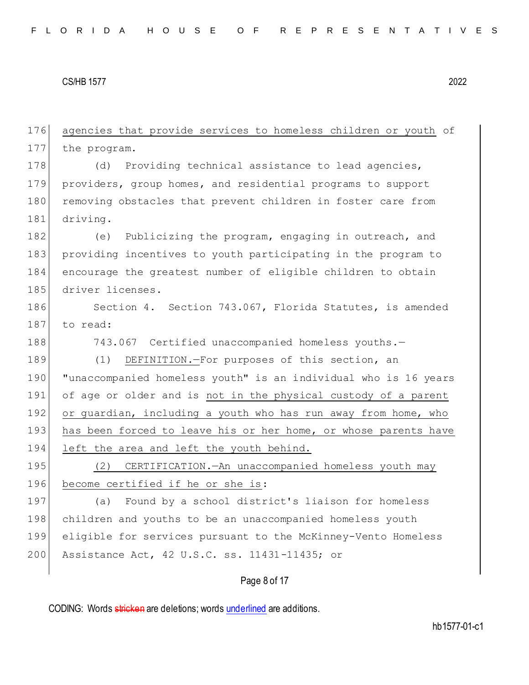176 agencies that provide services to homeless children or youth of 177 the program. 178 (d) Providing technical assistance to lead agencies, 179 providers, group homes, and residential programs to support 180 removing obstacles that prevent children in foster care from 181 driving. 182 (e) Publicizing the program, engaging in outreach, and 183 providing incentives to youth participating in the program to 184 encourage the greatest number of eligible children to obtain 185 driver licenses. 186 Section 4. Section 743.067, Florida Statutes, is amended 187 to read: 188 743.067 Certified unaccompanied homeless youths.-189 (1) DEFINITION.-For purposes of this section, an 190 "unaccompanied homeless youth" is an individual who is 16 years 191 of age or older and is not in the physical custody of a parent 192 or guardian, including a youth who has run away from home, who 193 has been forced to leave his or her home, or whose parents have 194 left the area and left the youth behind. 195 (2) CERTIFICATION.—An unaccompanied homeless youth may 196 become certified if he or she is: 197 (a) Found by a school district's liaison for homeless 198 children and youths to be an unaccompanied homeless youth 199 eligible for services pursuant to the McKinney-Vento Homeless 200 Assistance Act, 42 U.S.C. ss. 11431-11435; or

## Page 8 of 17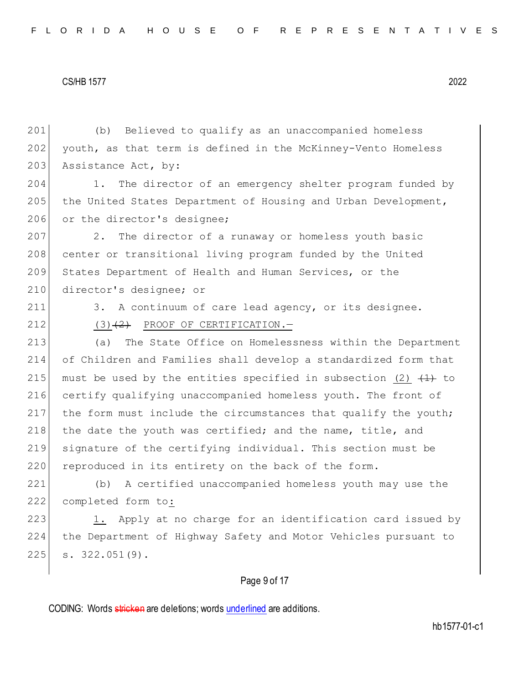201 (b) Believed to qualify as an unaccompanied homeless 202 youth, as that term is defined in the McKinney-Vento Homeless 203 Assistance Act, by:

204 1. The director of an emergency shelter program funded by 205 the United States Department of Housing and Urban Development, 206 or the director's designee;

207 2. The director of a runaway or homeless youth basic 208 center or transitional living program funded by the United 209 States Department of Health and Human Services, or the 210 director's designee; or

211 3. A continuum of care lead agency, or its designee.

212  $(3)$   $(2)$  PROOF OF CERTIFICATION.

213 (a) The State Office on Homelessness within the Department 214 of Children and Families shall develop a standardized form that 215 must be used by the entities specified in subsection (2)  $(1)$  to 216 certify qualifying unaccompanied homeless youth. The front of 217 the form must include the circumstances that qualify the youth; 218 the date the youth was certified; and the name, title, and 219 signature of the certifying individual. This section must be 220 reproduced in its entirety on the back of the form.

221 (b) A certified unaccompanied homeless youth may use the 222 completed form to:

223 1. Apply at no charge for an identification card issued by 224 the Department of Highway Safety and Motor Vehicles pursuant to  $225$  s.  $322.051(9)$ .

#### Page 9 of 17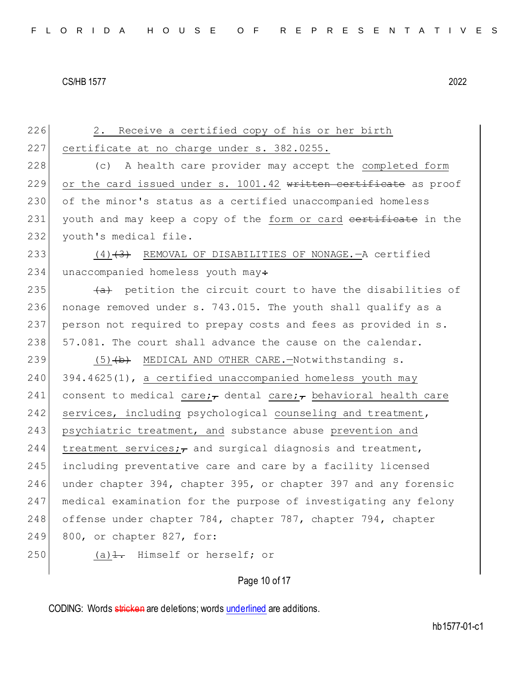226 2. Receive a certified copy of his or her birth 227 certificate at no charge under s. 382.0255. 228 (c) A health care provider may accept the completed form 229 or the card issued under s. 1001.42 written certificate as proof 230 of the minor's status as a certified unaccompanied homeless 231 youth and may keep a copy of the form or card certificate in the 232 youth's medical file. 233 (4)<del>(3)</del> REMOVAL OF DISABILITIES OF NONAGE.—A certified 234 unaccompanied homeless youth may: 235  $\overline{a}$  petition the circuit court to have the disabilities of 236 nonage removed under s. 743.015. The youth shall qualify as a 237 person not required to prepay costs and fees as provided in s. 238 57.081. The court shall advance the cause on the calendar. 239 (5) (b) MEDICAL AND OTHER CARE. - Notwithstanding s.  $240$  394.4625(1), a certified unaccompanied homeless youth may 241 consent to medical care; dental care; behavioral health care 242 services, including psychological counseling and treatment, 243 psychiatric treatment, and substance abuse prevention and 244 treatment services; $\tau$  and surgical diagnosis and treatment, 245 including preventative care and care by a facility licensed 246 under chapter 394, chapter 395, or chapter 397 and any forensic 247 medical examination for the purpose of investigating any felony 248 offense under chapter 784, chapter 787, chapter 794, chapter 249 800, or chapter 827, for: 250 (a) $\frac{1}{1}$ . Himself or herself; or

## Page 10 of 17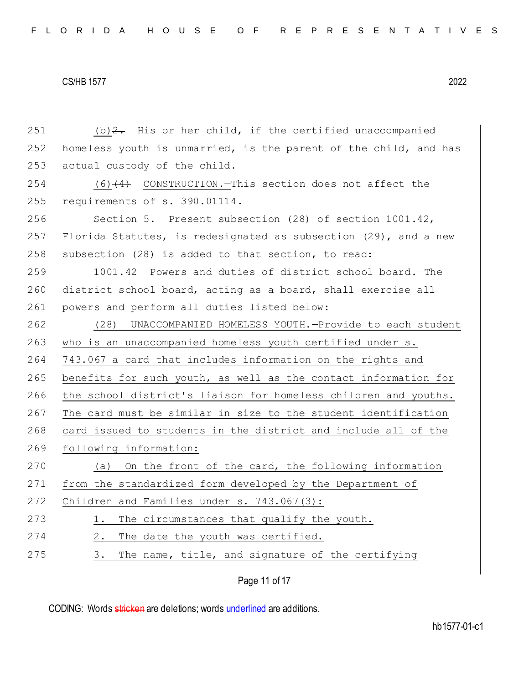| 251 | $(b)$ $2$ . His or her child, if the certified unaccompanied     |
|-----|------------------------------------------------------------------|
| 252 | homeless youth is unmarried, is the parent of the child, and has |
| 253 | actual custody of the child.                                     |
| 254 | $(6)$ $(4)$ CONSTRUCTION. This section does not affect the       |
| 255 | requirements of s. 390.01114.                                    |
| 256 | Section 5. Present subsection (28) of section 1001.42,           |
| 257 | Florida Statutes, is redesignated as subsection (29), and a new  |
| 258 | subsection (28) is added to that section, to read:               |
| 259 | 1001.42 Powers and duties of district school board. - The        |
| 260 | district school board, acting as a board, shall exercise all     |
| 261 | powers and perform all duties listed below:                      |
| 262 | (28) UNACCOMPANIED HOMELESS YOUTH.-Provide to each student       |
| 263 | who is an unaccompanied homeless youth certified under s.        |
| 264 | 743.067 a card that includes information on the rights and       |
| 265 | benefits for such youth, as well as the contact information for  |
| 266 | the school district's liaison for homeless children and youths.  |
| 267 | The card must be similar in size to the student identification   |
| 268 | card issued to students in the district and include all of the   |
| 269 | following information:                                           |
| 270 | On the front of the card, the following information<br>(a)       |
| 271 | from the standardized form developed by the Department of        |
| 272 | Children and Families under $s. 743.067(3)$ :                    |
| 273 | The circumstances that qualify the youth.<br>1.                  |
| 274 | The date the youth was certified.<br>2.                          |
| 275 | The name, title, and signature of the certifying<br>3.           |
|     |                                                                  |

Page 11 of 17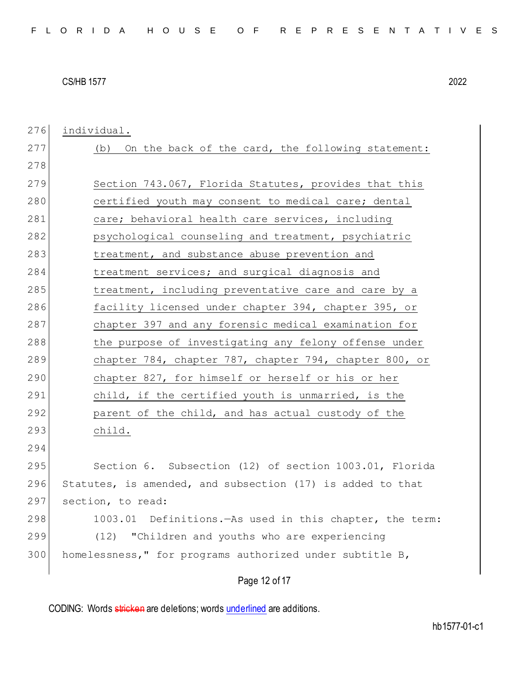Page 12 of 17 276 individual. 277 (b) On the back of the card, the following statement: 278 279 Section 743.067, Florida Statutes, provides that this 280 certified youth may consent to medical care; dental 281 care; behavioral health care services, including 282 psychological counseling and treatment, psychiatric 283 treatment, and substance abuse prevention and 284 treatment services; and surgical diagnosis and 285 treatment, including preventative care and care by a 286 facility licensed under chapter 394, chapter 395, or 287 chapter 397 and any forensic medical examination for 288 the purpose of investigating any felony offense under 289 chapter 784, chapter 787, chapter 794, chapter 800, or 290 chapter 827, for himself or herself or his or her 291 child, if the certified youth is unmarried, is the 292 parent of the child, and has actual custody of the 293 child. 294 295 Section 6. Subsection (12) of section 1003.01, Florida 296 Statutes, is amended, and subsection (17) is added to that 297 section, to read: 298 1003.01 Definitions.—As used in this chapter, the term: 299 (12) "Children and youths who are experiencing 300 homelessness," for programs authorized under subtitle B,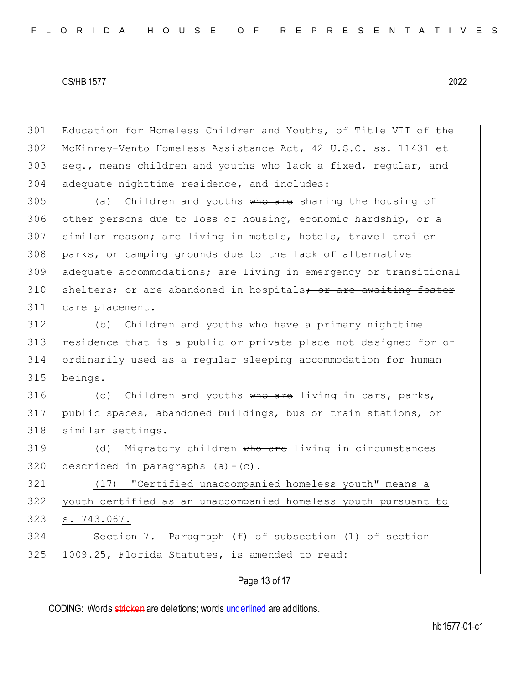301 Education for Homeless Children and Youths, of Title VII of the 302 McKinney-Vento Homeless Assistance Act, 42 U.S.C. ss. 11431 et 303 seq., means children and youths who lack a fixed, regular, and 304 adequate nighttime residence, and includes:

 (a) Children and youths who are sharing the housing of other persons due to loss of housing, economic hardship, or a similar reason; are living in motels, hotels, travel trailer parks, or camping grounds due to the lack of alternative adequate accommodations; are living in emergency or transitional 310 shelters; or are abandoned in hospitals; or are awaiting foster 311 eare placement.

 (b) Children and youths who have a primary nighttime residence that is a public or private place not designed for or ordinarily used as a regular sleeping accommodation for human 315 beings.

316 (c) Children and youths who are living in cars, parks, 317 public spaces, abandoned buildings, bus or train stations, or 318 similar settings.

319 (d) Migratory children who are living in circumstances  $320$  described in paragraphs (a) - (c).

321 (17) "Certified unaccompanied homeless youth" means a youth certified as an unaccompanied homeless youth pursuant to s. 743.067. Section 7. Paragraph (f) of subsection (1) of section

325 1009.25, Florida Statutes, is amended to read:

Page 13 of 17

CODING: Words stricken are deletions; words underlined are additions.

hb1577-01-c1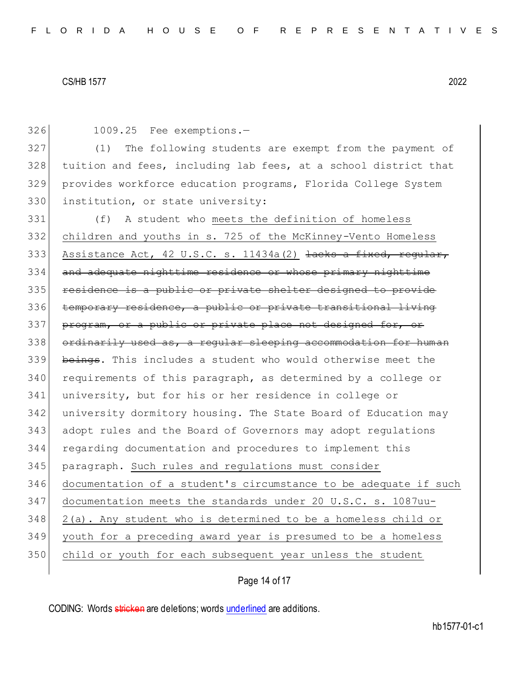1009.25 Fee exemptions.—

 (1) The following students are exempt from the payment of tuition and fees, including lab fees, at a school district that provides workforce education programs, Florida College System 330 institution, or state university:

 (f) A student who meets the definition of homeless children and youths in s. 725 of the McKinney-Vento Homeless 333 Assistance Act, 42 U.S.C. s. 11434a(2) <del>lacks a fixed, regular,</del> and adequate nighttime residence or whose primary nighttime residence is a public or private shelter designed to provide temporary residence, a public or private transitional living program, or a public or private place not designed for, or ordinarily used as, a regular sleeping accommodation for human 339 beings. This includes a student who would otherwise meet the 340 requirements of this paragraph, as determined by a college or university, but for his or her residence in college or university dormitory housing. The State Board of Education may adopt rules and the Board of Governors may adopt regulations regarding documentation and procedures to implement this paragraph. Such rules and regulations must consider documentation of a student's circumstance to be adequate if such documentation meets the standards under 20 U.S.C. s. 1087uu- 2(a). Any student who is determined to be a homeless child or youth for a preceding award year is presumed to be a homeless child or youth for each subsequent year unless the student

Page 14 of 17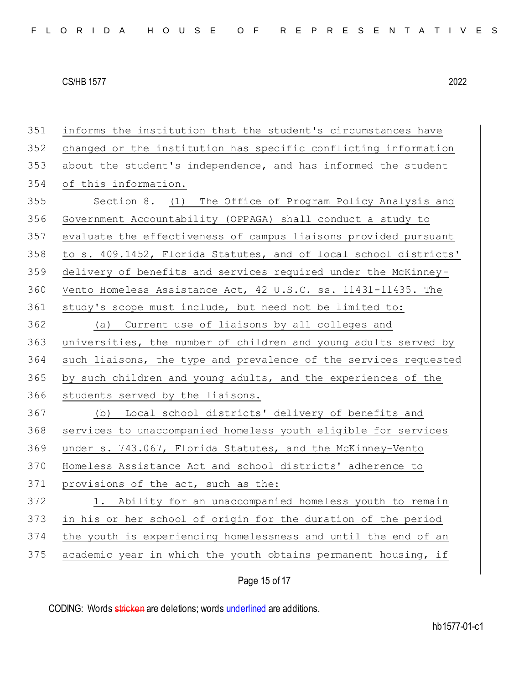| 351 | informs the institution that the student's circumstances have    |
|-----|------------------------------------------------------------------|
| 352 | changed or the institution has specific conflicting information  |
| 353 | about the student's independence, and has informed the student   |
| 354 | of this information.                                             |
| 355 | Section 8. (1) The Office of Program Policy Analysis and         |
| 356 | Government Accountability (OPPAGA) shall conduct a study to      |
| 357 | evaluate the effectiveness of campus liaisons provided pursuant  |
| 358 | to s. 409.1452, Florida Statutes, and of local school districts' |
| 359 | delivery of benefits and services required under the McKinney-   |
| 360 | Vento Homeless Assistance Act, 42 U.S.C. ss. 11431-11435. The    |
| 361 | study's scope must include, but need not be limited to:          |
| 362 | Current use of liaisons by all colleges and<br>(a)               |
| 363 | universities, the number of children and young adults served by  |
| 364 | such liaisons, the type and prevalence of the services requested |
| 365 | by such children and young adults, and the experiences of the    |
| 366 | students served by the liaisons.                                 |
| 367 | (b) Local school districts' delivery of benefits and             |
| 368 | services to unaccompanied homeless youth eligible for services   |
| 369 | under s. 743.067, Florida Statutes, and the McKinney-Vento       |
| 370 | Homeless Assistance Act and school districts' adherence to       |
| 371 | provisions of the act, such as the:                              |
| 372 | 1. Ability for an unaccompanied homeless youth to remain         |
| 373 | in his or her school of origin for the duration of the period    |
| 374 | the youth is experiencing homelessness and until the end of an   |
| 375 | academic year in which the youth obtains permanent housing, if   |
|     |                                                                  |

Page 15 of 17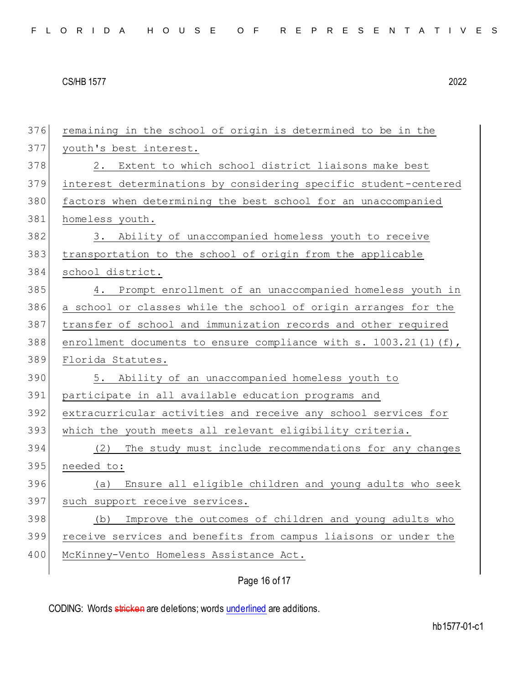| 376 | remaining in the school of origin is determined to be in the        |
|-----|---------------------------------------------------------------------|
| 377 | youth's best interest.                                              |
| 378 | 2. Extent to which school district liaisons make best               |
| 379 | interest determinations by considering specific student-centered    |
| 380 | factors when determining the best school for an unaccompanied       |
| 381 | homeless youth.                                                     |
| 382 | 3. Ability of unaccompanied homeless youth to receive               |
| 383 | transportation to the school of origin from the applicable          |
| 384 | school district.                                                    |
| 385 | 4. Prompt enrollment of an unaccompanied homeless youth in          |
| 386 | a school or classes while the school of origin arranges for the     |
| 387 | transfer of school and immunization records and other required      |
| 388 | enrollment documents to ensure compliance with s. $1003.21(1)(f)$ , |
|     |                                                                     |
| 389 | Florida Statutes.                                                   |
| 390 | 5. Ability of an unaccompanied homeless youth to                    |
| 391 | participate in all available education programs and                 |
| 392 | extracurricular activities and receive any school services for      |
| 393 | which the youth meets all relevant eligibility criteria.            |
| 394 | The study must include recommendations for any changes<br>(2)       |
| 395 | needed to:                                                          |
| 396 | Ensure all eligible children and young adults who seek<br>(a)       |
| 397 | such support receive services.                                      |
| 398 | Improve the outcomes of children and young adults who<br>(b)        |
| 399 | receive services and benefits from campus liaisons or under the     |
| 400 | McKinney-Vento Homeless Assistance Act.                             |

# Page 16 of 17